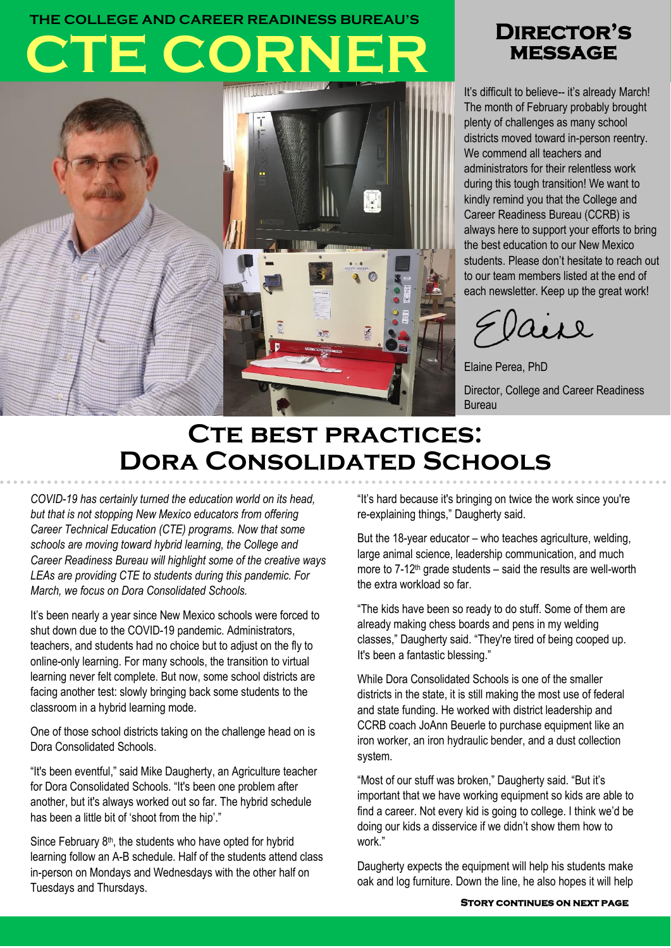## **THE COLLEGE AND CAREER READINESS BUREAU'S Director's**

# **TE CORNER**



## **message**

It's difficult to believe-- it's already March! The month of February probably brought plenty of challenges as many school districts moved toward in-person reentry. We commend all teachers and administrators for their relentless work during this tough transition! We want to kindly remind you that the College and Career Readiness Bureau (CCRB) is always here to support your efforts to bring the best education to our New Mexico students. Please don't hesitate to reach out to our team members listed at the end of each newsletter. Keep up the great work!

aire

Elaine Perea, PhD Director, College and Career Readiness Bureau

## **CTE BEST PRACTICES: Dora Consolidated Schools**

*COVID-19 has certainly turned the education world on its head, but that is not stopping New Mexico educators from offering Career Technical Education (CTE) programs. Now that some schools are moving toward hybrid learning, the College and Career Readiness Bureau will highlight some of the creative ways LEAs are providing CTE to students during this pandemic. For March, we focus on Dora Consolidated Schools.*

It's been nearly a year since New Mexico schools were forced to shut down due to the COVID-19 pandemic. Administrators, teachers, and students had no choice but to adjust on the fly to online-only learning. For many schools, the transition to virtual learning never felt complete. But now, some school districts are facing another test: slowly bringing back some students to the classroom in a hybrid learning mode.

One of those school districts taking on the challenge head on is Dora Consolidated Schools.

"It's been eventful," said Mike Daugherty, an Agriculture teacher for Dora Consolidated Schools. "It's been one problem after another, but it's always worked out so far. The hybrid schedule has been a little bit of 'shoot from the hip'."

Since February  $8<sup>th</sup>$ , the students who have opted for hybrid learning follow an A-B schedule. Half of the students attend class in-person on Mondays and Wednesdays with the other half on Tuesdays and Thursdays.

"It's hard because it's bringing on twice the work since you're re-explaining things," Daugherty said.

But the 18-year educator – who teaches agriculture, welding, large animal science, leadership communication, and much more to  $7-12$ <sup>th</sup> grade students – said the results are well-worth the extra workload so far.

"The kids have been so ready to do stuff. Some of them are already making chess boards and pens in my welding classes," Daugherty said. "They're tired of being cooped up. It's been a fantastic blessing."

While Dora Consolidated Schools is one of the smaller districts in the state, it is still making the most use of federal and state funding. He worked with district leadership and CCRB coach JoAnn Beuerle to purchase equipment like an iron worker, an iron hydraulic bender, and a dust collection system.

"Most of our stuff was broken," Daugherty said. "But it's important that we have working equipment so kids are able to find a career. Not every kid is going to college. I think we'd be doing our kids a disservice if we didn't show them how to work."

Daugherty expects the equipment will help his students make oak and log furniture. Down the line, he also hopes it will help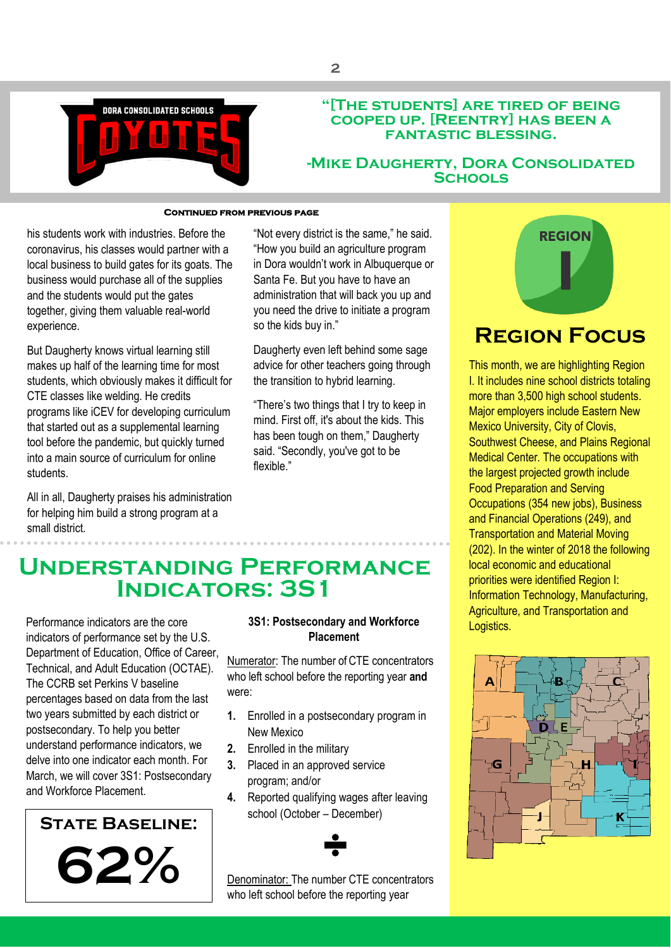

#### **"[The students] are tired of being cooped up. [Reentry] has been a fantastic blessing.**

#### **-Mike Daugherty, Dora Consolidated Schools**

#### **Continued from previous page**

his students work with industries. Before the coronavirus, his classes would partner with a local business to build gates for its goats. The business would purchase all of the supplies and the students would put the gates together, giving them valuable real-world experience.

But Daugherty knows virtual learning still makes up half of the learning time for most students, which obviously makes it difficult for CTE classes like welding. He credits programs like iCEV for developing curriculum that started out as a supplemental learning tool before the pandemic, but quickly turned into a main source of curriculum for online students.

All in all, Daugherty praises his administration for helping him build a strong program at a small district.

"Not every district is the same," he said. "How you build an agriculture program in Dora wouldn't work in Albuquerque or Santa Fe. But you have to have an administration that will back you up and you need the drive to initiate a program so the kids buy in."

Daugherty even left behind some sage advice for other teachers going through the transition to hybrid learning.

"There's two things that I try to keep in mind. First off, it's about the kids. This has been tough on them," Daugherty said. "Secondly, you've got to be flexible."



## **Region Focus**

This month, we are highlighting Region I. It includes nine school districts totaling more than 3,500 high school students. Major employers include Eastern New Mexico University, City of Clovis, Southwest Cheese, and Plains Regional Medical Center. The occupations with the largest projected growth include Food Preparation and Serving Occupations (354 new jobs), Business and Financial Operations (249), and Transportation and Material Moving (202). In the winter of 2018 the following local economic and educational priorities were identified Region I: Information Technology, Manufacturing, Agriculture, and Transportation and Logistics.



## **Understanding Performance Indicators: 3S1**

Performance indicators are the core indicators of performance set by the U.S. Department of Education, Office of Career, Technical, and Adult Education (OCTAE). The CCRB set Perkins V baseline percentages based on data from the last two years submitted by each district or postsecondary. To help you better understand performance indicators, we delve into one indicator each month. For March, we will cover 3S1: Postsecondary and Workforce Placement.



#### **3S1: Postsecondary and Workforce Placement**

Numerator: The number of CTE concentrators who left school before the reporting year **and** were:

- **1.** Enrolled in a postsecondary program in New Mexico
- **2.** Enrolled in the military
- **3.** Placed in an approved service program; and/or
- **4.** Reported qualifying wages after leaving school (October – December)

Denominator: The number CTE concentrators who left school before the reporting year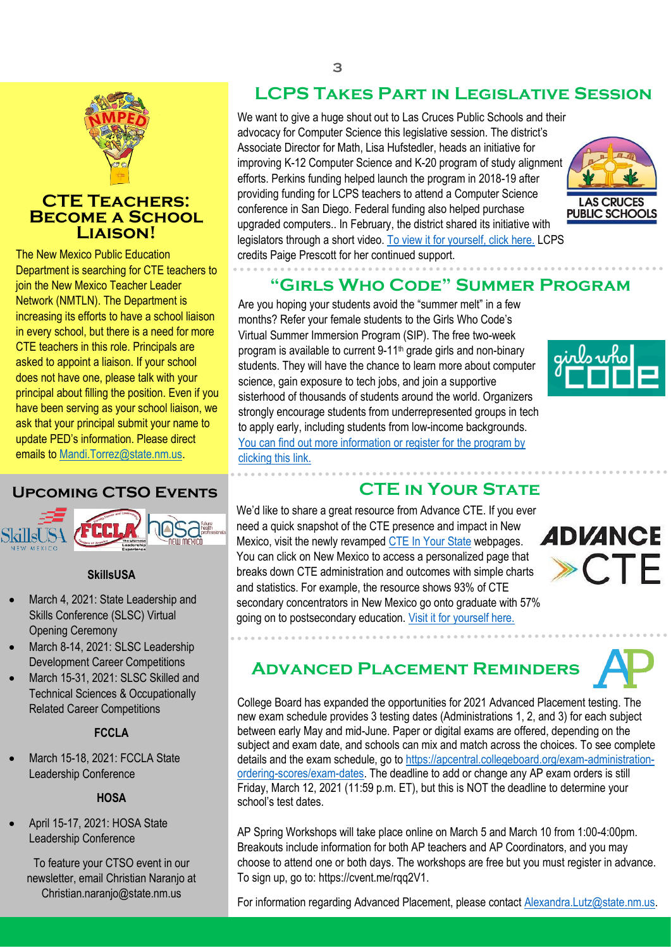

#### **CTE TEACHERS: Become a School Liaison!**

The New Mexico Public Education Department is searching for CTE teachers to join the New Mexico Teacher Leader Network (NMTLN). The Department is increasing its efforts to have a school liaison in every school, but there is a need for more CTE teachers in this role. Principals are asked to appoint a liaison. If your school does not have one, please talk with your principal about filling the position. Even if you have been serving as your school liaison, we ask that your principal submit your name to update PED's information. Please direct emails to [Mandi.Torrez@state.nm.us.](mailto:Mandi.Torrez@state.nm.us)

#### **Upcoming CTSO Events**



#### **SkillsUSA**

- March 4, 2021: State Leadership and Skills Conference (SLSC) Virtual Opening Ceremony
- March 8-14, 2021: SLSC Leadership Development Career Competitions
- March 15-31, 2021: SLSC Skilled and Technical Sciences & Occupationally Related Career Competitions

#### **FCCLA**

 March 15-18, 2021: FCCLA State Leadership Conference

#### **HOSA**

 April 15-17, 2021: HOSA State Leadership Conference

To feature your CTSO event in our newsletter, email Christian Naranjo at Christian.naranjo@state.nm.us

## **LCPS Takes Part in Legislative Session**

We want to give a huge shout out to Las Cruces Public Schools and their advocacy for Computer Science this legislative session. The district's Associate Director for Math, Lisa Hufstedler, heads an initiative for improving K-12 Computer Science and K-20 program of study alignment efforts. Perkins funding helped launch the program in 2018-19 after providing funding for LCPS teachers to attend a Computer Science conference in San Diego. Federal funding also helped purchase upgraded computers.. In February, the district shared its initiative with legislators through a short video[. To view it for yourself, click here.](https://www.youtube.com/watch?v=czXCoekXe9s&feature=youtu.be) LCPS credits Paige Prescott for her continued support.



#### **"Girls Who Code" Summer Program**

Are you hoping your students avoid the "summer melt" in a few months? Refer your female students to the Girls Who Code's Virtual Summer Immersion Program (SIP). The free two-week program is available to current 9-11<sup>th</sup> grade girls and non-binary students. They will have the chance to learn more about computer science, gain exposure to tech jobs, and join a supportive sisterhood of thousands of students around the world. Organizers strongly encourage students from underrepresented groups in tech to apply early, including students from low-income backgrounds. [You can find out more information or register for the program by](https://girlswhocodesm.smapply.io/?utm_source=Community%20Partner%20Referrals&utm_medium=Email&utm_campaign=Community%20Partners)  [clicking this link.](https://girlswhocodesm.smapply.io/?utm_source=Community%20Partner%20Referrals&utm_medium=Email&utm_campaign=Community%20Partners)



#### **CTE in Your State**

We'd like to share a great resource from Advance CTE. If you ever need a quick snapshot of the CTE presence and impact in New Mexico, visit the newly revamped [CTE In Your State](https://careertech.org/cte-your-state) webpages. You can click on New Mexico to access a personalized page that breaks down CTE administration and outcomes with simple charts and statistics. For example, the resource shows 93% of CTE secondary concentrators in New Mexico go onto graduate with 57% going on to postsecondary education[. Visit it for yourself here.](https://careertech.org/new-mexico)



**Advanced Placement Reminders**

College Board has expanded the opportunities for 2021 Advanced Placement testing. The new exam schedule provides 3 testing dates (Administrations 1, 2, and 3) for each subject between early May and mid-June. Paper or digital exams are offered, depending on the subject and exam date, and schools can mix and match across the choices. To see complete details and the exam schedule, go to [https://apcentral.collegeboard.org/exam-administration](https://apcentral.collegeboard.org/exam-administration-ordering-scores/exam-dates)[ordering-scores/exam-dates.](https://apcentral.collegeboard.org/exam-administration-ordering-scores/exam-dates) The deadline to add or change any AP exam orders is still Friday, March 12, 2021 (11:59 p.m. ET), but this is NOT the deadline to determine your school's test dates.

AP Spring Workshops will take place online on March 5 and March 10 from 1:00-4:00pm. Breakouts include information for both AP teachers and AP Coordinators, and you may choose to attend one or both days. The workshops are free but you must register in advance. To sign up, go to: [https://cvent.me/rqq2V1.](https://protect-us.mimecast.com/s/-YwaCv2z0Xhr3AQmFQOo5c?domain=cvent.me)

For information regarding Advanced Placement, please contact Alexandra.Lutz@state.nm.us.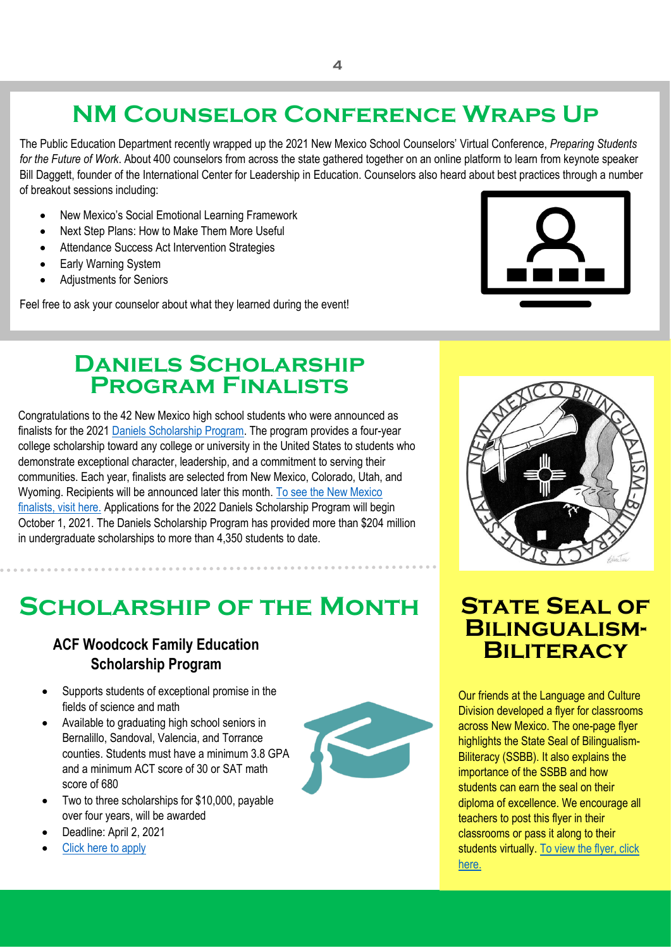## **NM Counselor Conference Wraps Up**

The Public Education Department recently wrapped up the 2021 New Mexico School Counselors' Virtual Conference, *Preparing Students for the Future of Work*. About 400 counselors from across the state gathered together on an online platform to learn from keynote speaker Bill Daggett, founder of the International Center for Leadership in Education. Counselors also heard about best practices through a number of breakout sessions including:

- New Mexico's Social Emotional Learning Framework
- Next Step Plans: How to Make Them More Useful
- Attendance Success Act Intervention Strategies
- Early Warning System
- Adjustments for Seniors

Feel free to ask your counselor about what they learned during the event!



## **Daniels Scholarship Program Finalists**

Congratulations to the 42 New Mexico high school students who were announced as finalists for the 202[1 Daniels Scholarship Program.](https://www.danielsfund.org/Scholarships/Daniels-Scholarship-Program/Overview) The program provides a four-year college scholarship toward any college or university in the United States to students who demonstrate exceptional character, leadership, and a commitment to serving their communities. Each year, finalists are selected from New Mexico, Colorado, Utah, and Wyoming. Recipients will be announced later this month. [To see the New Mexico](https://www.danielsfund.org/images/df/Scholarship/2021_Daniels_Scholarship_Program_Finalist_List.pdf)  [finalists, visit here.](https://www.danielsfund.org/images/df/Scholarship/2021_Daniels_Scholarship_Program_Finalist_List.pdf) Applications for the 2022 Daniels Scholarship Program will begin October 1, 2021. The Daniels Scholarship Program has provided more than \$204 million in undergraduate scholarships to more than 4,350 students to date.



## **Scholarship of the Month**

#### **ACF Woodcock Family Education Scholarship Program**

- Supports students of exceptional promise in the fields of science and math
- Available to graduating high school seniors in Bernalillo, Sandoval, Valencia, and Torrance counties. Students must have a minimum 3.8 GPA and a minimum ACT score of 30 or SAT math score of 680
- Two to three scholarships for \$10,000, payable over four years, will be awarded
- Deadline: April 2, 2021
- [Click here to apply](https://www.scholarships.com/financial-aid/college-scholarships/scholarship-directory/residence-state/new-mexico/acf-woodcock-family-education-scholarship-program)



## **STATE SEAL OF Bilingualism-Biliteracy**

Our friends at the Language and Culture Division developed a flyer for classrooms across New Mexico. The one-page flyer highlights the State Seal of Bilingualism-Biliteracy (SSBB). It also explains the importance of the SSBB and how students can earn the seal on their diploma of excellence. We encourage all teachers to post this flyer in their classrooms or pass it along to their students virtually. To view the flyer, click [here.](https://webnew.ped.state.nm.us/bureaus/languageandculture/seal-of-bilingualism-biliteracy/)